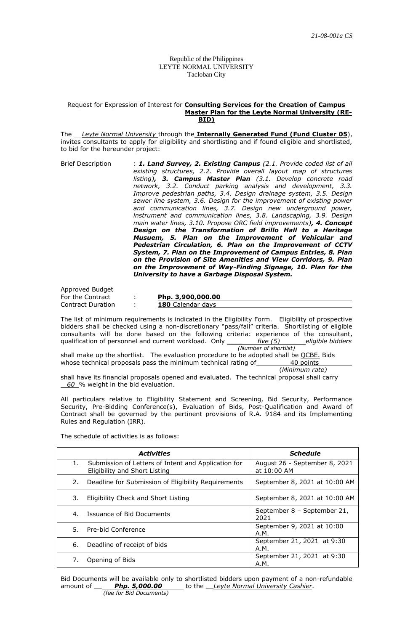Republic of the Philippines LEYTE NORMAL UNIVERSITY Tacloban City

## Request for Expression of Interest for **Consulting Services for the Creation of Campus Master Plan for the Leyte Normal University (RE-BID)**

The \_\_*Leyte Normal University* through the **Internally Generated Fund (Fund Cluster 05**), invites consultants to apply for eligibility and shortlisting and if found eligible and shortlisted, to bid for the hereunder project:

Brief Description : *1. Land Survey, 2. Existing Campus (2.1. Provide coded list of all existing structures, 2.2. Provide overall layout map of structures listing), 3. Campus Master Plan (3.1. Develop concrete road network, 3.2. Conduct parking analysis and development, 3.3. Improve pedestrian paths, 3.4. Design drainage system, 3.5. Design sewer line system, 3.6. Design for the improvement of existing power and communication lines, 3.7. Design new underground power, instrument and communication lines, 3.8. Landscaping, 3.9. Design main water lines, 3.10. Propose ORC field improvements), 4. Concept Design on the Transformation of Brillo Hall to a Heritage Musuem, 5. Plan on the Improvement of Vehicular and Pedestrian Circulation, 6. Plan on the Improvement of CCTV System, 7. Plan on the Improvement of Campus Entries, 8. Plan on the Provision of Site Amenities and View Corridors, 9. Plan on the Improvement of Way-Finding Signage, 10. Plan for the University to have a Garbage Disposal System.*

Approved Budget<br>For the Contract Contract Duration : **180** Calendar days

For the Contract : **Php. 3,900,000.00**

The list of minimum requirements is indicated in the Eligibility Form. Eligibility of prospective bidders shall be checked using a non-discretionary "pass/fail" criteria. Shortlisting of eligible consultants will be done based on the following criteria: experience of the consultant, qualification of personnel and current workload. Only *\_\_\_\_ five (5) eligible bidders (Number of shortlist)*

shall make up the shortlist. The evaluation procedure to be adopted shall be QCBE. Bids whose technical proposals pass the minimum technical rating of  $\overline{40 \text{ points}}$ 

(*Minimum rate)*

shall have its financial proposals opened and evaluated. The technical proposal shall carry 60 % weight in the bid evaluation.

All particulars relative to Eligibility Statement and Screening, Bid Security, Performance Security, Pre-Bidding Conference(s), Evaluation of Bids, Post-Qualification and Award of Contract shall be governed by the pertinent provisions of R.A. 9184 and its Implementing Rules and Regulation (IRR).

The schedule of activities is as follows:

|    | <b>Activities</b>                                                                    | <b>Schedule</b>                              |
|----|--------------------------------------------------------------------------------------|----------------------------------------------|
| 1. | Submission of Letters of Intent and Application for<br>Eligibility and Short Listing | August 26 - September 8, 2021<br>at 10:00 AM |
| 2. | Deadline for Submission of Eligibility Reguirements                                  | September 8, 2021 at 10:00 AM                |
| 3. | Eligibility Check and Short Listing                                                  | September 8, 2021 at 10:00 AM                |
|    | 4. Issuance of Bid Documents                                                         | September 8 - September 21,<br>2021          |
| 5. | Pre-bid Conference                                                                   | September 9, 2021 at 10:00<br>A.M.           |
| 6. | Deadline of receipt of bids                                                          | September 21, 2021 at 9:30<br>A.M.           |
|    | Opening of Bids                                                                      | September 21, 2021 at 9:30<br>A.M.           |

Bid Documents will be available only to shortlisted bidders upon payment of a non-refundable amount of \_\_ *Php. 5,000.00* to the \_\_*Leyte Normal University Cashier*. *(fee for Bid Documents)*